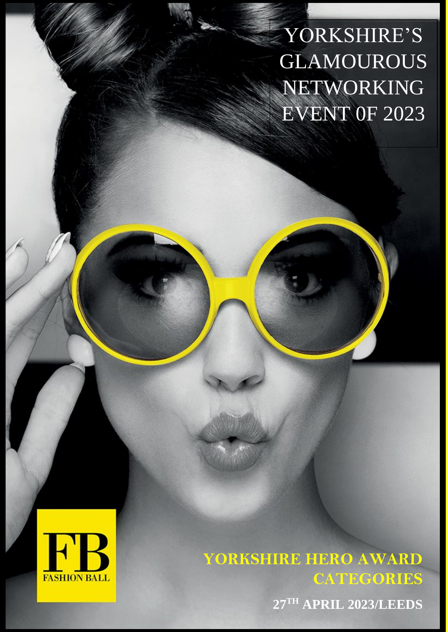YORKSHIRE'S GLAMOUROUS NETWORKING EVENT 0F 2023



**YORKSHIRE HERO AWARD CATEGORIES**

**27TH APRIL 2023/LEEDS**